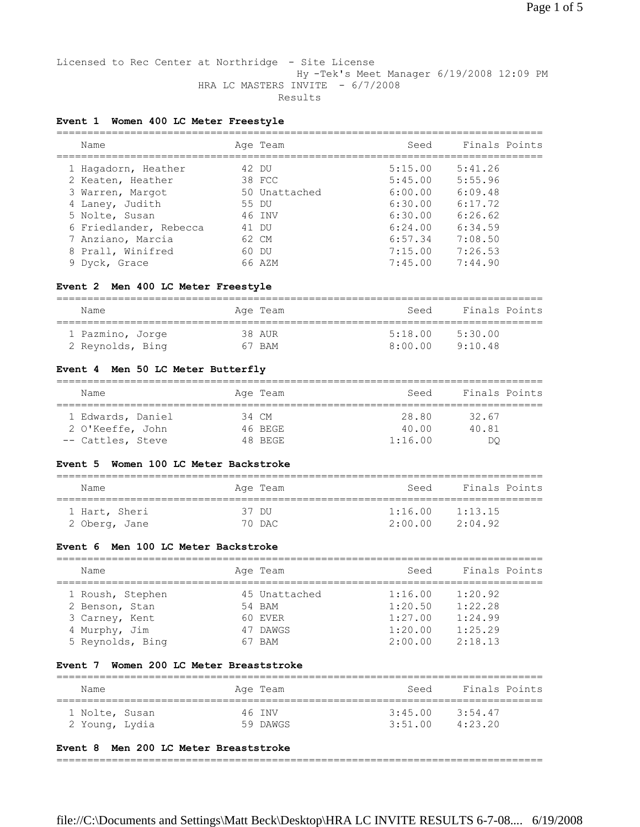### Licensed to Rec Center at Northridge - Site License Hy -Tek's Meet Manager 6/19/2008 12:09 PM HRA LC MASTERS INVITE - 6/7/2008 Results

### **Event 1 Women 400 LC Meter Freestyle**

| Name                   |       | Age Team      | Seed    | Finals Points |
|------------------------|-------|---------------|---------|---------------|
| 1 Hagadorn, Heather    | 42 DU |               | 5:15.00 | 5:41.26       |
| 2 Keaten, Heather      |       | 38 FCC        | 5:45.00 | 5:55.96       |
| 3 Warren, Margot       |       | 50 Unattached | 6:00.00 | 6:09.48       |
| 4 Laney, Judith        | 55 DU |               | 6:30.00 | 6:17.72       |
| 5 Nolte, Susan         |       | 46 INV        | 6:30.00 | 6:26.62       |
| 6 Friedlander, Rebecca | 41    | DU.           | 6:24.00 | 6:34.59       |
| 7 Anziano, Marcia      |       | 62 CM         | 6:57.34 | 7:08.50       |
| 8 Prall, Winifred      |       | 60 DU         | 7:15.00 | 7:26.53       |
| 9 Dyck, Grace          |       | 66 AZM        | 7:45.00 | 7:44.90       |

### **Event 2 Men 400 LC Meter Freestyle**

| Name             | Age Team   | Seed    | Finals Points |
|------------------|------------|---------|---------------|
| 1 Pazmino, Jorge | 38 AUR     | 5:18.00 | 5:30.00       |
| 2 Reynolds, Bing | <b>BAM</b> | 8:00.00 | 9:10.48       |

### **Event 4 Men 50 LC Meter Butterfly**

| Name              | Age Team | Seed    | Finals Points |
|-------------------|----------|---------|---------------|
| 1 Edwards, Daniel | 34 CM    | 28.80   | 32.67         |
| 2 O'Keeffe, John  | 46 BEGE  | 40.00   | 40.81         |
| -- Cattles, Steve | 48 BEGE  | 1:16.00 | DO            |

### **Event 5 Women 100 LC Meter Backstroke**

| Name          | Age Team | Seed    | Finals Points |
|---------------|----------|---------|---------------|
| 1 Hart, Sheri | 37 DU    | 1:16.00 | 1:13.15       |
| 2 Oberg, Jane | 70 DAC   | 2:00.00 | 2:04.92       |

#### **Event 6 Men 100 LC Meter Backstroke**

| Name             | Age Team      | Seed    | Finals Points |
|------------------|---------------|---------|---------------|
| 1 Roush, Stephen | 45 Unattached | 1:16.00 | 1:20.92       |
| 2 Benson, Stan   | 54 BAM        | 1:20.50 | 1:22.28       |
| 3 Carney, Kent   | 60 EVER       | 1:27.00 | 1:24.99       |
| 4 Murphy, Jim    | 47 DAWGS      | 1:20.00 | 1:25.29       |
| 5 Reynolds, Bing | <b>BAM</b>    | 2:00.00 | 2:18.13       |

#### **Event 7 Women 200 LC Meter Breaststroke**

| Name                             |  | Age Team           | Seed               | Finals Points      |
|----------------------------------|--|--------------------|--------------------|--------------------|
| 1 Nolte, Susan<br>2 Young, Lydia |  | 46 TNV<br>59 DAWGS | 3:45.00<br>3:51.00 | 3:54.47<br>4:23.20 |

#### **Event 8 Men 200 LC Meter Breaststroke**

===============================================================================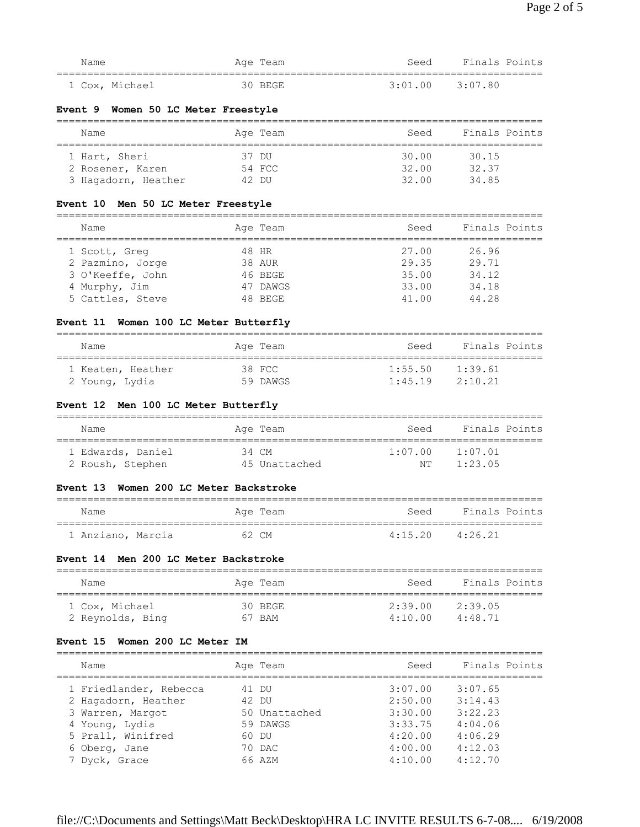| Name           | " Age<br>'l'eam | Finals Points<br>Seed |
|----------------|-----------------|-----------------------|
|                |                 |                       |
| 1 Cox, Michael | ) REGE<br>30.   | $3:01.00$ $3:07.80$   |

### **Event 9 Women 50 LC Meter Freestyle**

| Name                | Age Team | Seed  | Finals Points |
|---------------------|----------|-------|---------------|
| 1 Hart, Sheri       | 37 DU    | 30.00 | 30.15         |
| 2 Rosener, Karen    | 54 FCC   | 32.00 | 32.37         |
| 3 Hagadorn, Heather | 42 DU    | 32.00 | 34 85         |

# **Event 10 Men 50 LC Meter Freestyle**

| Name             | Age Team | Seed  | Finals Points |
|------------------|----------|-------|---------------|
|                  |          |       |               |
| 1 Scott, Greg    | 48 HR    | 27.00 | 26.96         |
| 2 Pazmino, Jorge | 38 AUR   | 29.35 | 29.71         |
| 3 O'Keeffe, John | 46 BEGE  | 35.00 | 34.12         |
| 4 Murphy, Jim    | 47 DAWGS | 33.00 | 34.18         |
| 5 Cattles, Steve | 48 BEGE  | 41.00 | 44.28         |

# **Event 11 Women 100 LC Meter Butterfly**

| Name                                | Age Team           | Seed               | Finals Points      |
|-------------------------------------|--------------------|--------------------|--------------------|
| 1 Keaten, Heather<br>2 Young, Lydia | 38 FCC<br>59 DAWGS | 1:55.50<br>1:45.19 | 1:39.61<br>2:10.21 |

# **Event 12 Men 100 LC Meter Butterfly**

| Name              | Age Team      | Seed    | Finals Points |
|-------------------|---------------|---------|---------------|
| 1 Edwards, Daniel | 34 CM         | 1:07.00 | 1:07.01       |
| 2 Roush, Stephen  | 45 Unattached | NͲ      | 1:23.05       |

### **Event 13 Women 200 LC Meter Backstroke**

| Name              | Age Team | Seed                | Finals Points |
|-------------------|----------|---------------------|---------------|
| 1 Anziano, Marcia | 62 CM    | $4:15.20$ $4:26.21$ |               |

# **Event 14 Men 200 LC Meter Backstroke**

| Name                               | Age Team          | Finals Points<br>Seed                            |
|------------------------------------|-------------------|--------------------------------------------------|
| 1 Cox, Michael<br>2 Reynolds, Bing | 30 BEGE<br>67 BAM | 2:39.05<br>2:39.00<br>4:10.00<br>$4 \cdot 48$ 71 |

### **Event 15 Women 200 LC Meter IM**

| Name                   | Age Team      | Seed    | Finals Points |
|------------------------|---------------|---------|---------------|
| 1 Friedlander, Rebecca | 41 DU         | 3:07.00 | 3:07.65       |
| 2 Hagadorn, Heather    | 42 DU         | 2:50.00 | 3:14.43       |
| 3 Warren, Margot       | 50 Unattached | 3:30.00 | 3:22.23       |
| 4 Young, Lydia         | 59 DAWGS      | 3:33.75 | 4:04.06       |
| 5 Prall, Winifred      | 60 DU         | 4:20.00 | 4:06.29       |
| 6 Oberg, Jane          | 70 DAC        | 4:00.00 | 4:12.03       |
| 7 Dyck, Grace          | 66 AZM        | 4:10.00 | 4:12.70       |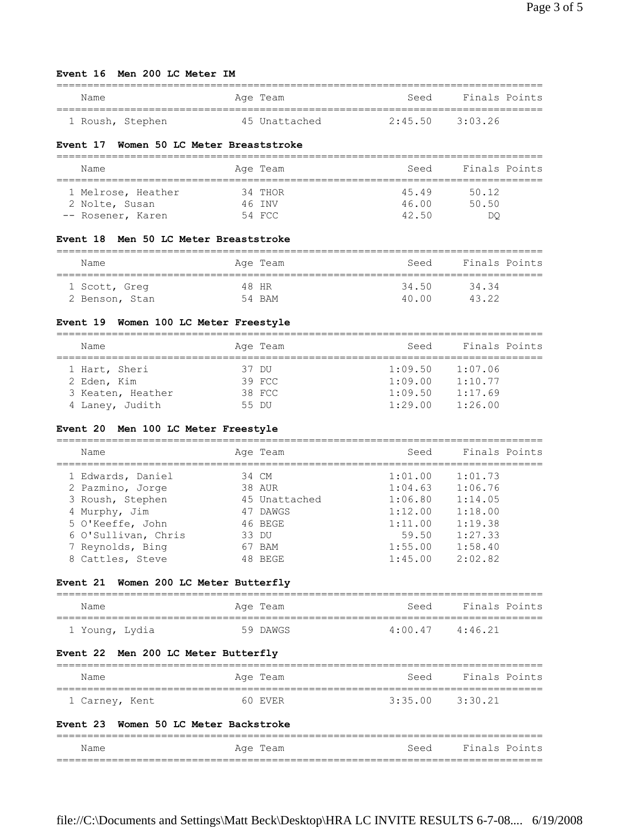#### **Event 16 Men 200 LC Meter IM**

| Name             | Age Team      | Seed                | Finals Points |
|------------------|---------------|---------------------|---------------|
| 1 Roush, Stephen | 45 Unattached | $2:45.50$ $3:03.26$ |               |

### **Event 17 Women 50 LC Meter Breaststroke**

| Name                                | Age Team          | Seed           | Finals Points  |
|-------------------------------------|-------------------|----------------|----------------|
| 1 Melrose, Heather                  | 34 THOR<br>46 TNV | 45.49<br>46.00 | 50.12<br>50.50 |
| 2 Nolte, Susan<br>-- Rosener, Karen | 54 FCC            | 42.50          | DO             |

#### **Event 18 Men 50 LC Meter Breaststroke**

| Name           | Age Team | Seed  | Finals Points |
|----------------|----------|-------|---------------|
| 1 Scott, Greg  | 48 HR    | 34.50 | 3434          |
| 2 Benson, Stan | 54 BAM   | 40 00 | 43.22         |

# **Event 19 Women 100 LC Meter Freestyle**

| Name            |                   | Age Team | Seed    | Finals Points |  |
|-----------------|-------------------|----------|---------|---------------|--|
|                 |                   |          |         |               |  |
| 1 Hart, Sheri   |                   | 37 DU    | 1:09.50 | 1:07.06       |  |
| 2 Eden, Kim     |                   | 39 FCC   | 1:09.00 | 1:10.77       |  |
|                 | 3 Keaten, Heather | 38 FCC   | 1:09.50 | 1:17.69       |  |
| 4 Laney, Judith |                   | 55 DU    | 1:29.00 | 1:26.00       |  |

### **Event 20 Men 100 LC Meter Freestyle**

| Name                |    | Age Team      | Seed    | Finals Points |
|---------------------|----|---------------|---------|---------------|
| 1 Edwards, Daniel   |    | 34 CM         | 1:01.00 | 1:01.73       |
| 2 Pazmino, Jorge    |    | 38 AUR        | 1:04.63 | 1:06.76       |
| 3 Roush, Stephen    |    | 45 Unattached | 1:06.80 | 1:14.05       |
| 4 Murphy, Jim       |    | 47 DAWGS      | 1:12.00 | 1:18.00       |
| 5 O'Keeffe, John    |    | 46 BEGE       | 1:11.00 | 1:19.38       |
| 6 O'Sullivan, Chris |    | 33 DU         | 59.50   | 1:27.33       |
| 7 Reynolds, Bing    | 67 | ' BAM         | 1:55.00 | 1:58.40       |
| 8 Cattles, Steve    |    | 48 BEGE       | 1:45.00 | 2:02.82       |

# **Event 21 Women 200 LC Meter Butterfly**

| Name           | Age Team | Finals Points<br>Seed |
|----------------|----------|-----------------------|
|                |          |                       |
| 1 Young, Lydia | 59 DAWGS | 4:00.47<br>4:46.21    |

### **Event 22 Men 200 LC Meter Butterfly**

| Name                                  | Age Team | Seed                | Finals Points |
|---------------------------------------|----------|---------------------|---------------|
| 1 Carney, Kent                        | 60 EVER  | $3:35.00$ $3:30.21$ |               |
| Event 23 Women 50 LC Meter Backstroke |          |                     |               |
| Name                                  | Age Team | Seed                | Finals Points |

===============================================================================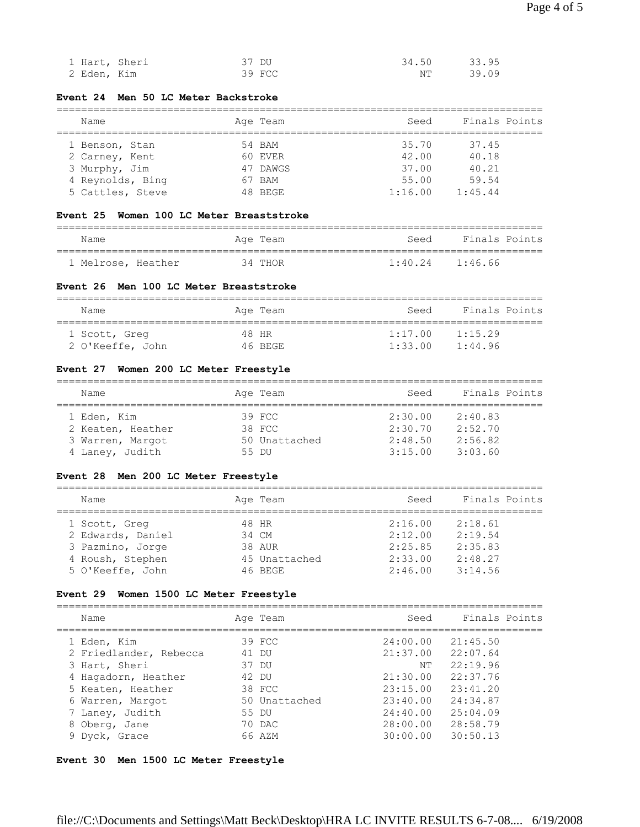| 1 Hart, Sheri | 37 DU  | 33.95<br>34.50 |  |
|---------------|--------|----------------|--|
| 2 Eden, Kim   | 39 FCC | 39.09<br>NT    |  |

### **Event 24 Men 50 LC Meter Backstroke**

| Name             | Age Team | Seed    | Finals Points |
|------------------|----------|---------|---------------|
| 1 Benson, Stan   | 54 BAM   | 35.70   | 37.45         |
| 2 Carney, Kent   | 60 EVER  | 42.00   | 40.18         |
| 3 Murphy, Jim    | 47 DAWGS | 37.00   | 40.21         |
| 4 Reynolds, Bing | 67 BAM   | 55.00   | 59.54         |
| 5 Cattles, Steve | 48 BEGE  | 1:16.00 | 1:45.44       |

# **Event 25 Women 100 LC Meter Breaststroke**

| Name               | Age Team | Finals Points<br>Seed |
|--------------------|----------|-----------------------|
| 1 Melrose, Heather | 34 THOR  | 1:40.24<br>1:46.66    |

### **Event 26 Men 100 LC Meter Breaststroke**

| Name             | Age Team | Seed    | Finals Points |
|------------------|----------|---------|---------------|
| 1 Scott, Greq    | 48 HR    | 1:17.00 | 1:15.29       |
| 2 O'Keeffe, John | 46 BEGE  | 1:33.00 | 1:44.96       |

# **Event 27 Women 200 LC Meter Freestyle**

| Name              | Age Team      | Seed    | Finals Points |  |
|-------------------|---------------|---------|---------------|--|
| 1 Eden, Kim       | 39 FCC        | 2:30.00 | 2:40.83       |  |
| 2 Keaten, Heather | 38 FCC        | 2:30.70 | 2:52.70       |  |
| 3 Warren, Margot  | 50 Unattached | 2:48.50 | 2:56.82       |  |
| 4 Laney, Judith   | 55 DU         | 3:15.00 | 3:03.60       |  |

# **Event 28 Men 200 LC Meter Freestyle**

| Name              | Age Team      | Seed    | Finals Points |
|-------------------|---------------|---------|---------------|
| 1 Scott, Greg     | 48 HR         | 2:16.00 | 2:18.61       |
| 2 Edwards, Daniel | 34 CM         | 2:12.00 | 2:19.54       |
| 3 Pazmino, Jorge  | 38 AUR        | 2:25.85 | 2:35.83       |
| 4 Roush, Stephen  | 45 Unattached | 2:33.00 | 2:48.27       |
| 5 O'Keeffe, John  | 46 BEGE       | 2:46.00 | 3:14.56       |

# **Event 29 Women 1500 LC Meter Freestyle**

| Name                                  |       | Age Team      | Seed                 | Finals Points        |
|---------------------------------------|-------|---------------|----------------------|----------------------|
| 1 Eden, Kim<br>2 Friedlander, Rebecca | 41 DU | 39 FCC        | 24:00.00<br>21:37.00 | 21:45.50<br>22:07.64 |
| 3 Hart, Sheri                         | 37 DU |               | NT.                  | 22:19.96             |
| 4 Hagadorn, Heather                   | 42 DU |               | 21:30.00             | 22:37.76             |
| 5 Keaten, Heather                     |       | 38 FCC        | 23:15.00             | 23:41.20             |
| 6 Warren, Margot                      |       | 50 Unattached | 23:40.00             | 24:34.87             |
| 7 Laney, Judith                       | 55 DU |               | 24:40.00             | 25:04.09             |
| 8 Oberg, Jane                         |       | 70 DAC        | 28:00.00             | 28:58.79             |
| 9 Dyck, Grace                         |       | 66 AZM        | 30:00.00             | 30:50.13             |

# **Event 30 Men 1500 LC Meter Freestyle**